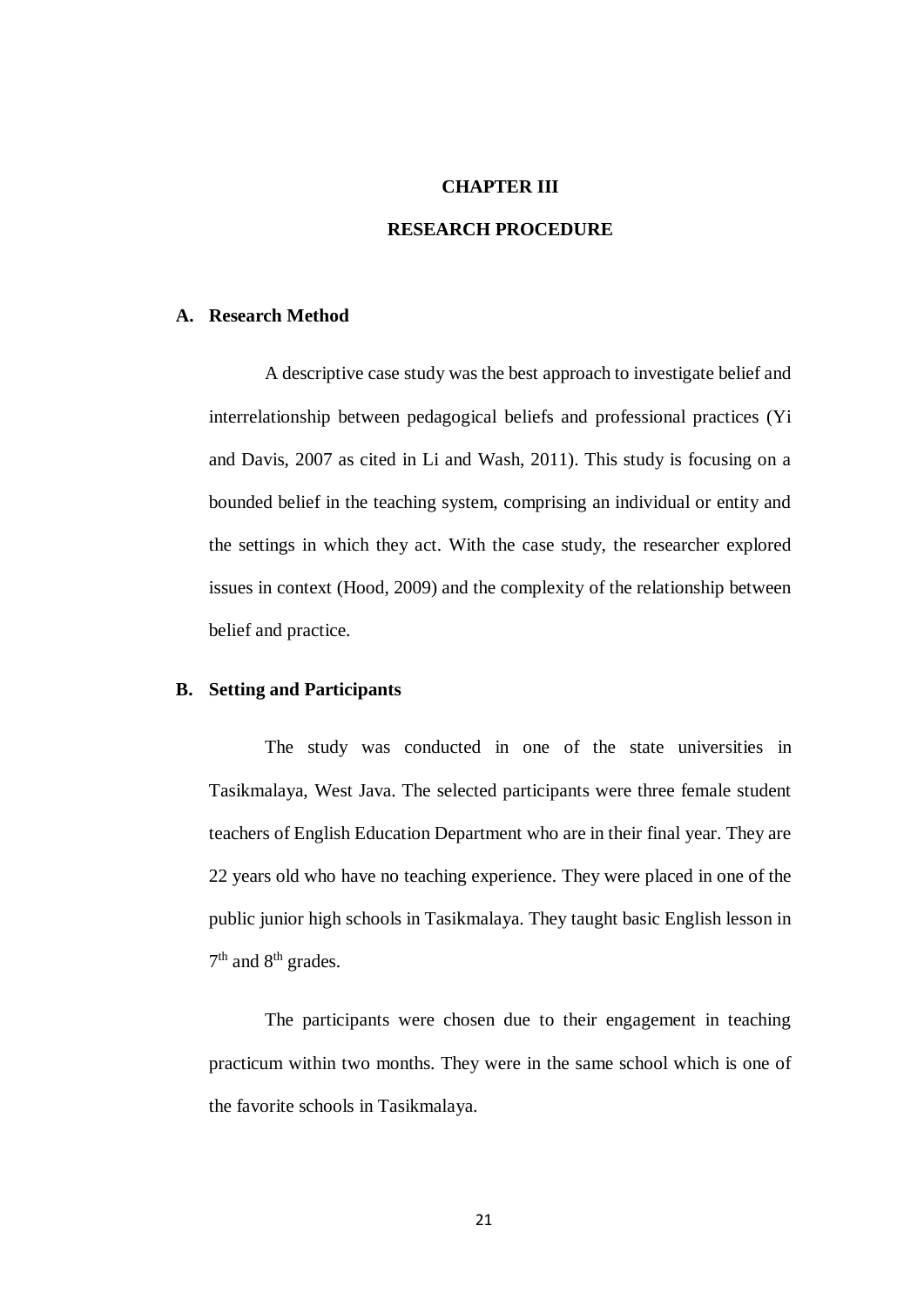## **CHAPTER III**

## **RESEARCH PROCEDURE**

### **A. Research Method**

A descriptive case study was the best approach to investigate belief and interrelationship between pedagogical beliefs and professional practices (Yi and Davis, 2007 as cited in Li and Wash, 2011). This study is focusing on a bounded belief in the teaching system, comprising an individual or entity and the settings in which they act. With the case study, the researcher explored issues in context (Hood, 2009) and the complexity of the relationship between belief and practice.

## **B. Setting and Participants**

The study was conducted in one of the state universities in Tasikmalaya, West Java. The selected participants were three female student teachers of English Education Department who are in their final year. They are 22 years old who have no teaching experience. They were placed in one of the public junior high schools in Tasikmalaya. They taught basic English lesson in 7<sup>th</sup> and 8<sup>th</sup> grades.

The participants were chosen due to their engagement in teaching practicum within two months. They were in the same school which is one of the favorite schools in Tasikmalaya.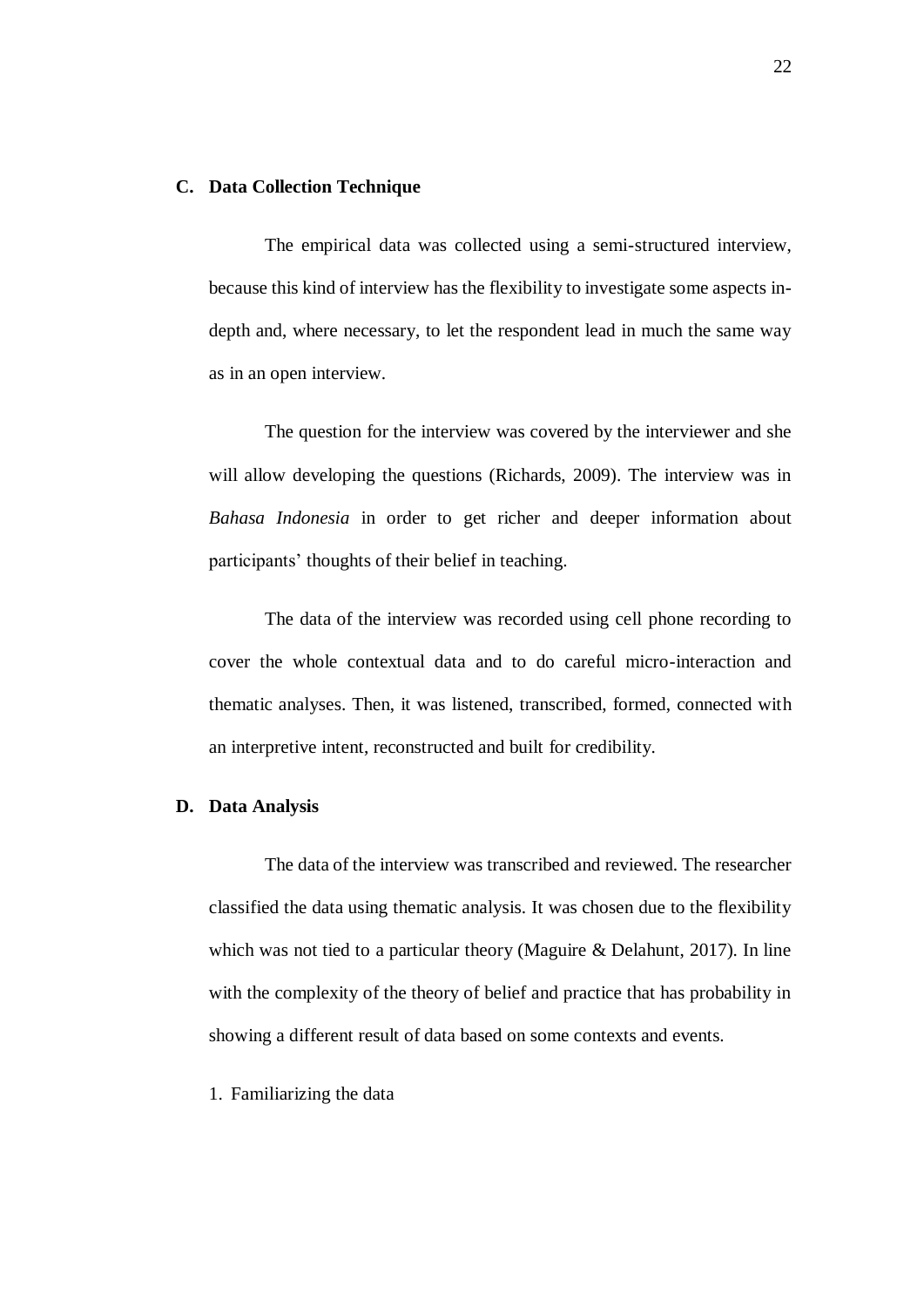### **C. Data Collection Technique**

The empirical data was collected using a semi-structured interview, because this kind of interview has the flexibility to investigate some aspects indepth and, where necessary, to let the respondent lead in much the same way as in an open interview.

The question for the interview was covered by the interviewer and she will allow developing the questions (Richards, 2009). The interview was in *Bahasa Indonesia* in order to get richer and deeper information about participants' thoughts of their belief in teaching.

The data of the interview was recorded using cell phone recording to cover the whole contextual data and to do careful micro-interaction and thematic analyses. Then, it was listened, transcribed, formed, connected with an interpretive intent, reconstructed and built for credibility.

#### **D. Data Analysis**

The data of the interview was transcribed and reviewed. The researcher classified the data using thematic analysis. It was chosen due to the flexibility which was not tied to a particular theory (Maguire & Delahunt, 2017). In line with the complexity of the theory of belief and practice that has probability in showing a different result of data based on some contexts and events.

#### 1. Familiarizing the data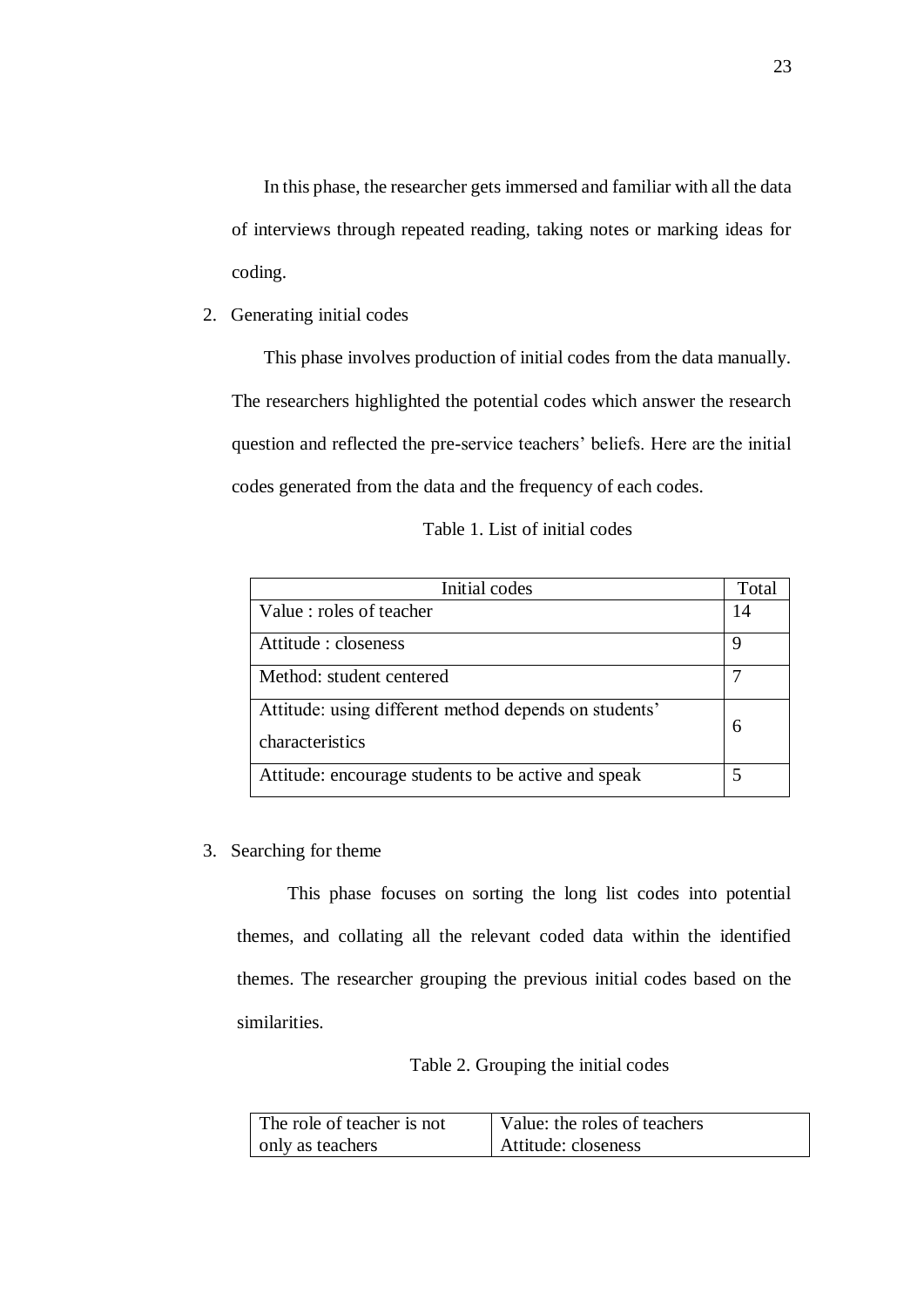In this phase, the researcher gets immersed and familiar with all the data of interviews through repeated reading, taking notes or marking ideas for coding.

2. Generating initial codes

This phase involves production of initial codes from the data manually. The researchers highlighted the potential codes which answer the research question and reflected the pre-service teachers' beliefs. Here are the initial codes generated from the data and the frequency of each codes.

| Table 1. List of initial codes |
|--------------------------------|
|--------------------------------|

| Initial codes                                                            |    |  |  |  |
|--------------------------------------------------------------------------|----|--|--|--|
| Value : roles of teacher                                                 | 14 |  |  |  |
| Attitude : closeness                                                     |    |  |  |  |
| Method: student centered                                                 |    |  |  |  |
| Attitude: using different method depends on students'<br>characteristics | 6  |  |  |  |
| Attitude: encourage students to be active and speak                      |    |  |  |  |

3. Searching for theme

This phase focuses on sorting the long list codes into potential themes, and collating all the relevant coded data within the identified themes. The researcher grouping the previous initial codes based on the similarities.

# Table 2. Grouping the initial codes

| The role of teacher is not | Value: the roles of teachers |  |  |  |  |
|----------------------------|------------------------------|--|--|--|--|
| only as teachers           | Attitude: closeness          |  |  |  |  |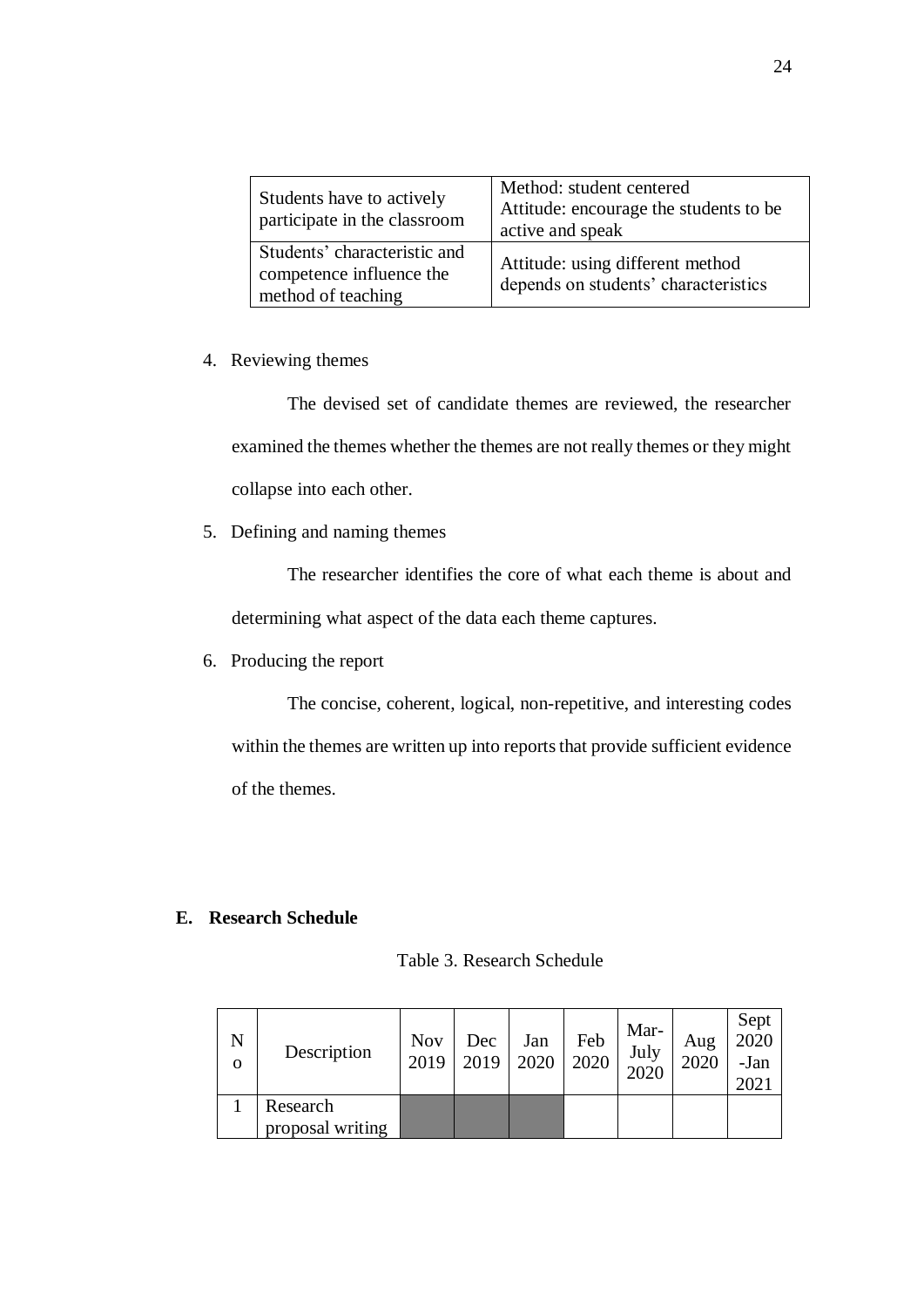| Students have to actively<br>participate in the classroom                      | Method: student centered<br>Attitude: encourage the students to be<br>active and speak |
|--------------------------------------------------------------------------------|----------------------------------------------------------------------------------------|
| Students' characteristic and<br>competence influence the<br>method of teaching | Attitude: using different method<br>depends on students' characteristics               |

4. Reviewing themes

The devised set of candidate themes are reviewed, the researcher examined the themes whether the themes are not really themes or they might collapse into each other.

5. Defining and naming themes

The researcher identifies the core of what each theme is about and determining what aspect of the data each theme captures.

6. Producing the report

The concise, coherent, logical, non-repetitive, and interesting codes within the themes are written up into reports that provide sufficient evidence of the themes.

# **E. Research Schedule**

| N<br>$\Omega$ | Description      | <b>Nov</b><br>2019 | Dec<br>2019 | Jan<br>2020 | Feb<br>2020 | Mar-<br>July<br>2020 | Aug<br>2020 | Sept<br>2020<br>-Jan<br>2021 |
|---------------|------------------|--------------------|-------------|-------------|-------------|----------------------|-------------|------------------------------|
|               | Research         |                    |             |             |             |                      |             |                              |
|               | proposal writing |                    |             |             |             |                      |             |                              |